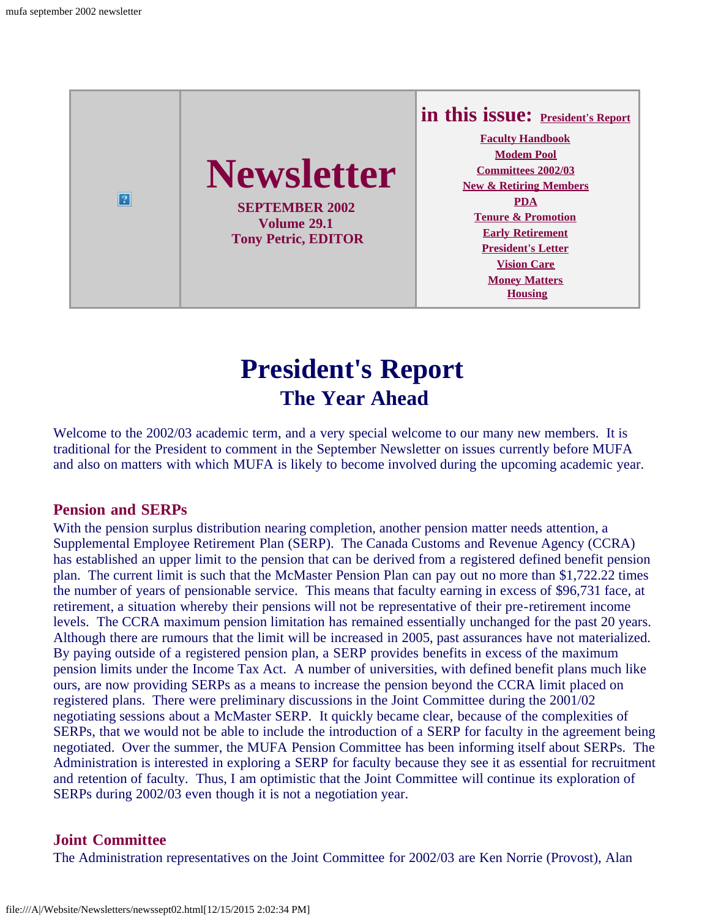

# **President's Report The Year Ahead**

<span id="page-0-0"></span>Welcome to the 2002/03 academic term, and a very special welcome to our many new members. It is traditional for the President to comment in the September Newsletter on issues currently before MUFA and also on matters with which MUFA is likely to become involved during the upcoming academic year.

#### **Pension and SERPs**

With the pension surplus distribution nearing completion, another pension matter needs attention, a Supplemental Employee Retirement Plan (SERP). The Canada Customs and Revenue Agency (CCRA) has established an upper limit to the pension that can be derived from a registered defined benefit pension plan. The current limit is such that the McMaster Pension Plan can pay out no more than \$1,722.22 times the number of years of pensionable service. This means that faculty earning in excess of \$96,731 face, at retirement, a situation whereby their pensions will not be representative of their pre-retirement income levels. The CCRA maximum pension limitation has remained essentially unchanged for the past 20 years. Although there are rumours that the limit will be increased in 2005, past assurances have not materialized. By paying outside of a registered pension plan, a SERP provides benefits in excess of the maximum pension limits under the Income Tax Act. A number of universities, with defined benefit plans much like ours, are now providing SERPs as a means to increase the pension beyond the CCRA limit placed on registered plans. There were preliminary discussions in the Joint Committee during the 2001/02 negotiating sessions about a McMaster SERP. It quickly became clear, because of the complexities of SERPs, that we would not be able to include the introduction of a SERP for faculty in the agreement being negotiated. Over the summer, the MUFA Pension Committee has been informing itself about SERPs. The Administration is interested in exploring a SERP for faculty because they see it as essential for recruitment and retention of faculty. Thus, I am optimistic that the Joint Committee will continue its exploration of SERPs during 2002/03 even though it is not a negotiation year.

#### **Joint Committee**

The Administration representatives on the Joint Committee for 2002/03 are Ken Norrie (Provost), Alan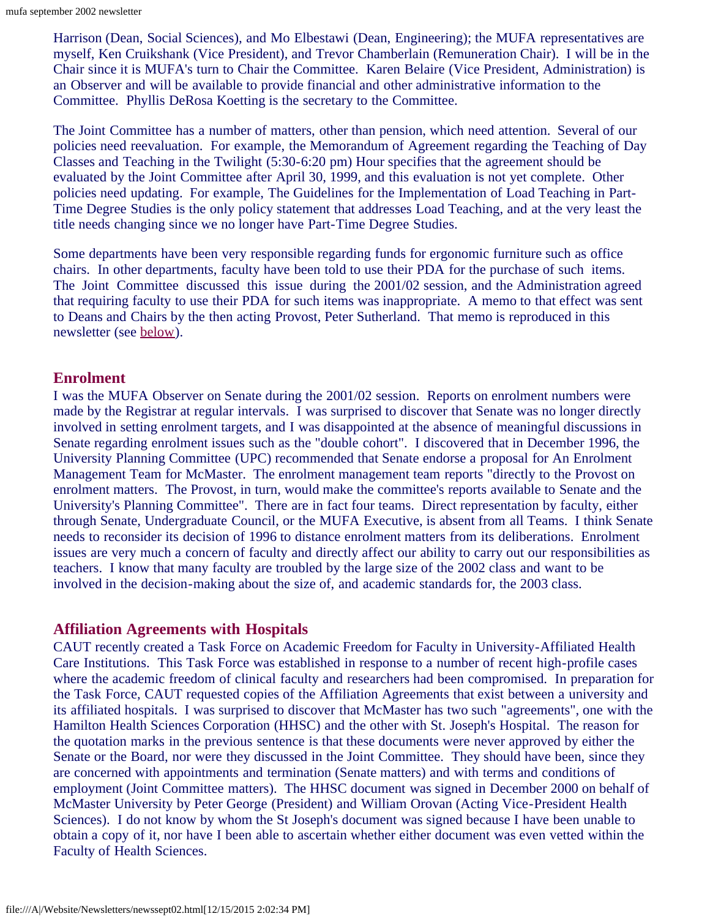Harrison (Dean, Social Sciences), and Mo Elbestawi (Dean, Engineering); the MUFA representatives are myself, Ken Cruikshank (Vice President), and Trevor Chamberlain (Remuneration Chair). I will be in the Chair since it is MUFA's turn to Chair the Committee. Karen Belaire (Vice President, Administration) is an Observer and will be available to provide financial and other administrative information to the Committee. Phyllis DeRosa Koetting is the secretary to the Committee.

The Joint Committee has a number of matters, other than pension, which need attention. Several of our policies need reevaluation. For example, the Memorandum of Agreement regarding the Teaching of Day Classes and Teaching in the Twilight (5:30-6:20 pm) Hour specifies that the agreement should be evaluated by the Joint Committee after April 30, 1999, and this evaluation is not yet complete. Other policies need updating. For example, The Guidelines for the Implementation of Load Teaching in Part-Time Degree Studies is the only policy statement that addresses Load Teaching, and at the very least the title needs changing since we no longer have Part-Time Degree Studies.

Some departments have been very responsible regarding funds for ergonomic furniture such as office chairs. In other departments, faculty have been told to use their PDA for the purchase of such items. The Joint Committee discussed this issue during the 2001/02 session, and the Administration agreed that requiring faculty to use their PDA for such items was inappropriate. A memo to that effect was sent to Deans and Chairs by the then acting Provost, Peter Sutherland. That memo is reproduced in this newsletter (see [below](#page-5-0)).

#### **Enrolment**

I was the MUFA Observer on Senate during the 2001/02 session. Reports on enrolment numbers were made by the Registrar at regular intervals. I was surprised to discover that Senate was no longer directly involved in setting enrolment targets, and I was disappointed at the absence of meaningful discussions in Senate regarding enrolment issues such as the "double cohort". I discovered that in December 1996, the University Planning Committee (UPC) recommended that Senate endorse a proposal for An Enrolment Management Team for McMaster. The enrolment management team reports "directly to the Provost on enrolment matters. The Provost, in turn, would make the committee's reports available to Senate and the University's Planning Committee". There are in fact four teams. Direct representation by faculty, either through Senate, Undergraduate Council, or the MUFA Executive, is absent from all Teams. I think Senate needs to reconsider its decision of 1996 to distance enrolment matters from its deliberations. Enrolment issues are very much a concern of faculty and directly affect our ability to carry out our responsibilities as teachers. I know that many faculty are troubled by the large size of the 2002 class and want to be involved in the decision-making about the size of, and academic standards for, the 2003 class.

#### **Affiliation Agreements with Hospitals**

CAUT recently created a Task Force on Academic Freedom for Faculty in University-Affiliated Health Care Institutions. This Task Force was established in response to a number of recent high-profile cases where the academic freedom of clinical faculty and researchers had been compromised. In preparation for the Task Force, CAUT requested copies of the Affiliation Agreements that exist between a university and its affiliated hospitals. I was surprised to discover that McMaster has two such "agreements", one with the Hamilton Health Sciences Corporation (HHSC) and the other with St. Joseph's Hospital. The reason for the quotation marks in the previous sentence is that these documents were never approved by either the Senate or the Board, nor were they discussed in the Joint Committee. They should have been, since they are concerned with appointments and termination (Senate matters) and with terms and conditions of employment (Joint Committee matters). The HHSC document was signed in December 2000 on behalf of McMaster University by Peter George (President) and William Orovan (Acting Vice-President Health Sciences). I do not know by whom the St Joseph's document was signed because I have been unable to obtain a copy of it, nor have I been able to ascertain whether either document was even vetted within the Faculty of Health Sciences.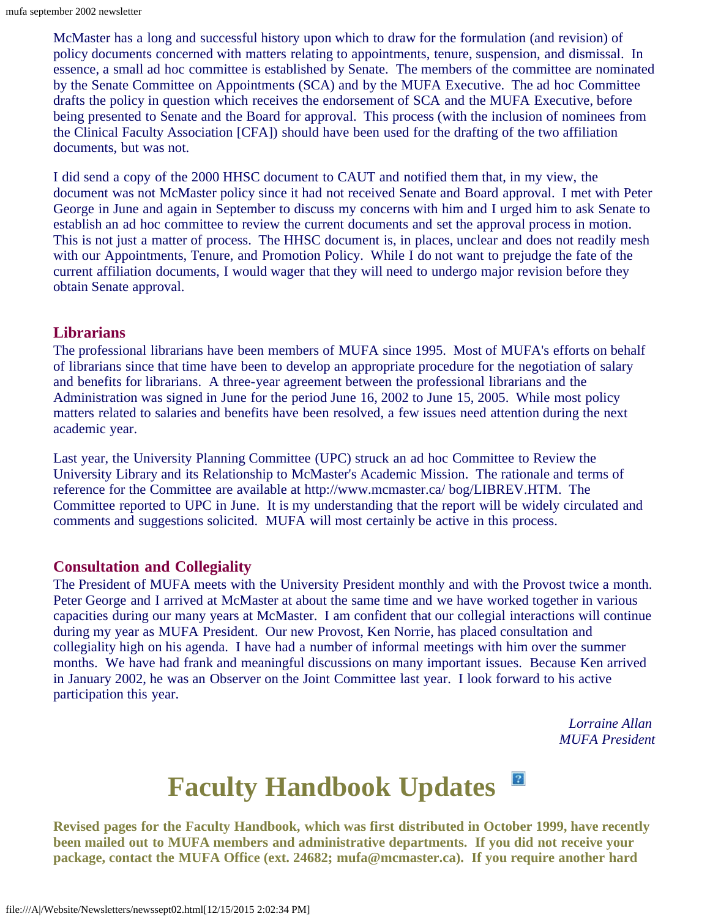McMaster has a long and successful history upon which to draw for the formulation (and revision) of policy documents concerned with matters relating to appointments, tenure, suspension, and dismissal. In essence, a small ad hoc committee is established by Senate. The members of the committee are nominated by the Senate Committee on Appointments (SCA) and by the MUFA Executive. The ad hoc Committee drafts the policy in question which receives the endorsement of SCA and the MUFA Executive, before being presented to Senate and the Board for approval. This process (with the inclusion of nominees from the Clinical Faculty Association [CFA]) should have been used for the drafting of the two affiliation documents, but was not.

I did send a copy of the 2000 HHSC document to CAUT and notified them that, in my view, the document was not McMaster policy since it had not received Senate and Board approval. I met with Peter George in June and again in September to discuss my concerns with him and I urged him to ask Senate to establish an ad hoc committee to review the current documents and set the approval process in motion. This is not just a matter of process. The HHSC document is, in places, unclear and does not readily mesh with our Appointments, Tenure, and Promotion Policy. While I do not want to prejudge the fate of the current affiliation documents, I would wager that they will need to undergo major revision before they obtain Senate approval.

#### **Librarians**

The professional librarians have been members of MUFA since 1995. Most of MUFA's efforts on behalf of librarians since that time have been to develop an appropriate procedure for the negotiation of salary and benefits for librarians. A three-year agreement between the professional librarians and the Administration was signed in June for the period June 16, 2002 to June 15, 2005. While most policy matters related to salaries and benefits have been resolved, a few issues need attention during the next academic year.

Last year, the University Planning Committee (UPC) struck an ad hoc Committee to Review the University Library and its Relationship to McMaster's Academic Mission. The rationale and terms of reference for the Committee are available at http://www.mcmaster.ca/ bog/LIBREV.HTM. The Committee reported to UPC in June. It is my understanding that the report will be widely circulated and comments and suggestions solicited. MUFA will most certainly be active in this process.

#### **Consultation and Collegiality**

The President of MUFA meets with the University President monthly and with the Provost twice a month. Peter George and I arrived at McMaster at about the same time and we have worked together in various capacities during our many years at McMaster. I am confident that our collegial interactions will continue during my year as MUFA President. Our new Provost, Ken Norrie, has placed consultation and collegiality high on his agenda. I have had a number of informal meetings with him over the summer months. We have had frank and meaningful discussions on many important issues. Because Ken arrived in January 2002, he was an Observer on the Joint Committee last year. I look forward to his active participation this year.

> *Lorraine Allan MUFA President*

#### $\vert 2 \vert$ **Faculty Handbook Updates**

<span id="page-2-0"></span>**Revised pages for the Faculty Handbook, which was first distributed in October 1999, have recently been mailed out to MUFA members and administrative departments. If you did not receive your package, contact the MUFA Office (ext. 24682; mufa@mcmaster.ca). If you require another hard**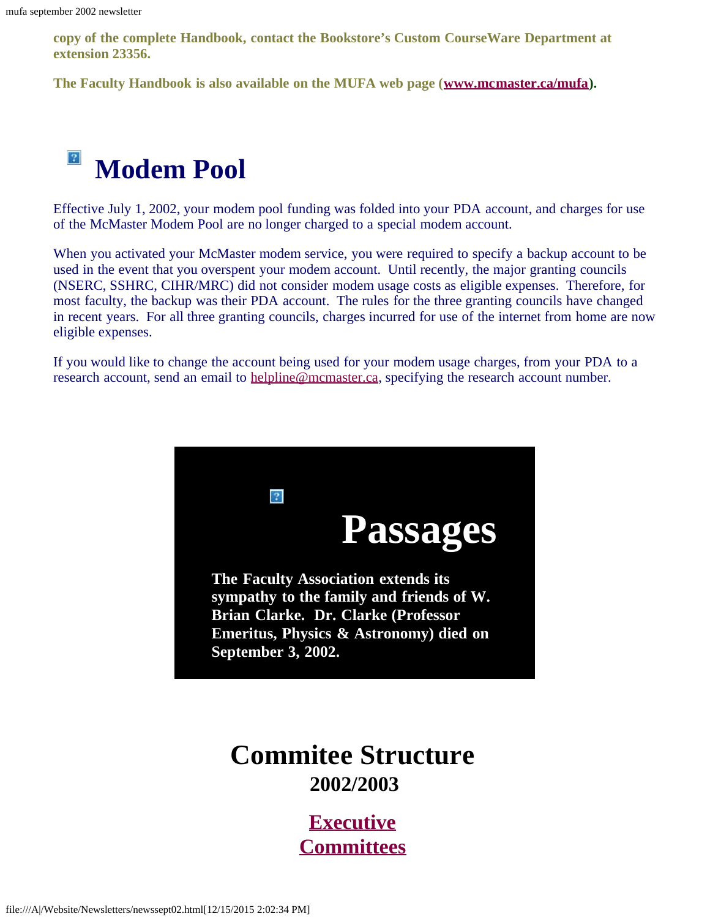**copy of the complete Handbook, contact the Bookstore's Custom CourseWare Department at extension 23356.**

**The Faculty Handbook is also available on the MUFA web page ([www.mcmaster.ca/mufa](http://www.mcmaster.ca/mufa/)).**

#### $|2|$ **Modem Pool**

<span id="page-3-0"></span>Effective July 1, 2002, your modem pool funding was folded into your PDA account, and charges for use of the McMaster Modem Pool are no longer charged to a special modem account.

When you activated your McMaster modem service, you were required to specify a backup account to be used in the event that you overspent your modem account. Until recently, the major granting councils (NSERC, SSHRC, CIHR/MRC) did not consider modem usage costs as eligible expenses. Therefore, for most faculty, the backup was their PDA account. The rules for the three granting councils have changed in recent years. For all three granting councils, charges incurred for use of the internet from home are now eligible expenses.

If you would like to change the account being used for your modem usage charges, from your PDA to a research account, send an email to [helpline@mcmaster.ca](mailto:helpline@mcmaster.ca), specifying the research account number.



## <span id="page-3-1"></span>**Commitee Structure 2002/2003**

**[Executive](file:///A|/Website/Newsletters/newexec.htm) [Committees](file:///A|/Website/Newsletters/committe.htm)**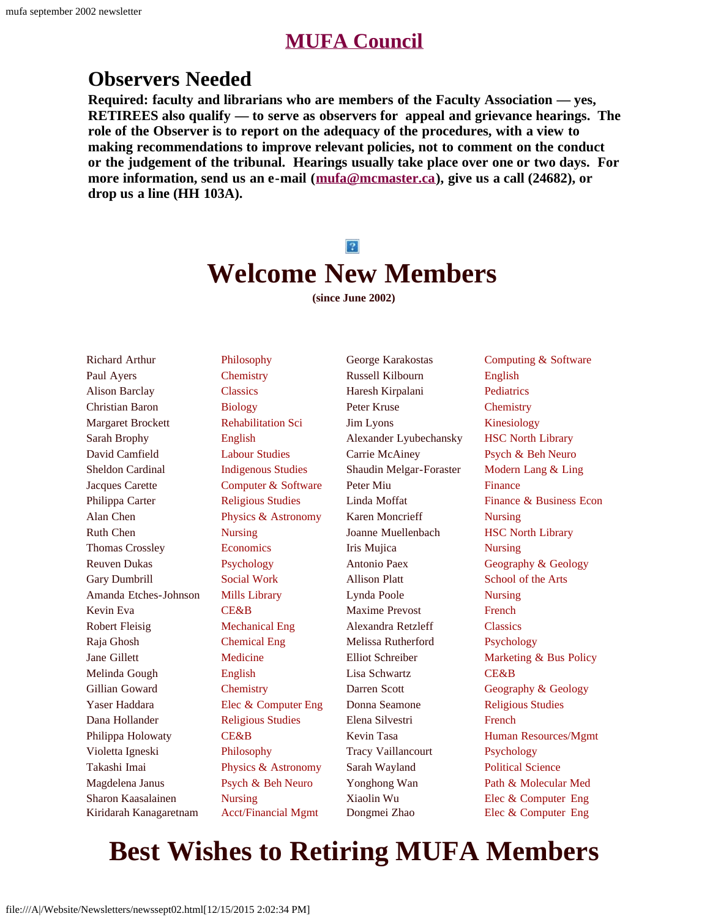## **[MUFA Council](file:///A|/Website/Newsletters/council.htm)**

## **Observers Needed**

**Required: faculty and librarians who are members of the Faculty Association — yes, RETIREES also qualify — to serve as observers for appeal and grievance hearings. The role of the Observer is to report on the adequacy of the procedures, with a view to making recommendations to improve relevant policies, not to comment on the conduct or the judgement of the tribunal. Hearings usually take place over one or two days. For more information, send us an e-mail ([mufa@mcmaster.ca\)](mailto:mufa@mcmaster.ca), give us a call (24682), or drop us a line (HH 103A).**

#### $|2|$

# **Welcome New Members**

**(since June 2002)**

<span id="page-4-0"></span>Richard Arthur Paul Ayers Alison Barclay Christian Baron Margaret Brockett Sarah Brophy David Camfield Sheldon Cardinal Jacques Carette Philippa Carter Alan Chen Ruth Chen Thomas Crossley Reuven Dukas Gary Dumbrill Amanda Etches-Johnson Kevin Eva Robert Fleisig Raja Ghosh Jane Gillett Melinda Gough Gillian Goward Yaser Haddara Dana Hollander Philippa Holowaty Violetta Igneski Takashi Imai Magdelena Janus Sharon Kaasalainen Kiridarah Kanagaretnam

Philosophy **Chemistry** Classics Biology Rehabilitation Sci English Labour Studies Indigenous Studies Computer & Software Religious Studies Physics & Astronomy Nursing **Economics** Psychology Social Work Mills Library CE&B Mechanical Eng Chemical Eng Medicine English **Chemistry** Elec & Computer Eng Religious Studies CE&B Philosophy Physics & Astronomy Psych & Beh Neuro Nursing Acct/Financial Mgmt

George Karakostas Russell Kilbourn Haresh Kirpalani Peter Kruse Jim Lyons Alexander Lyubechansky Carrie McAiney Shaudin Melgar-Foraster Peter Miu Linda Moffat Karen Moncrieff Joanne Muellenbach Iris Mujica Antonio Paex Allison Platt Lynda Poole Maxime Prevost Alexandra Retzleff Melissa Rutherford Elliot Schreiber Lisa Schwartz Darren Scott Donna Seamone Elena Silvestri Kevin Tasa Tracy Vaillancourt Sarah Wayland Yonghong Wan Xiaolin Wu Dongmei Zhao

Computing & Software English **Pediatrics Chemistry** Kinesiology HSC North Library Psych & Beh Neuro Modern Lang & Ling Finance Finance & Business Econ Nursing HSC North Library Nursing Geography & Geology School of the Arts Nursing French **Classics** Psychology Marketing & Bus Policy CE&B Geography & Geology Religious Studies French Human Resources/Mgmt Psychology Political Science Path & Molecular Med Elec & Computer Eng Elec & Computer Eng

# **Best Wishes to Retiring MUFA Members**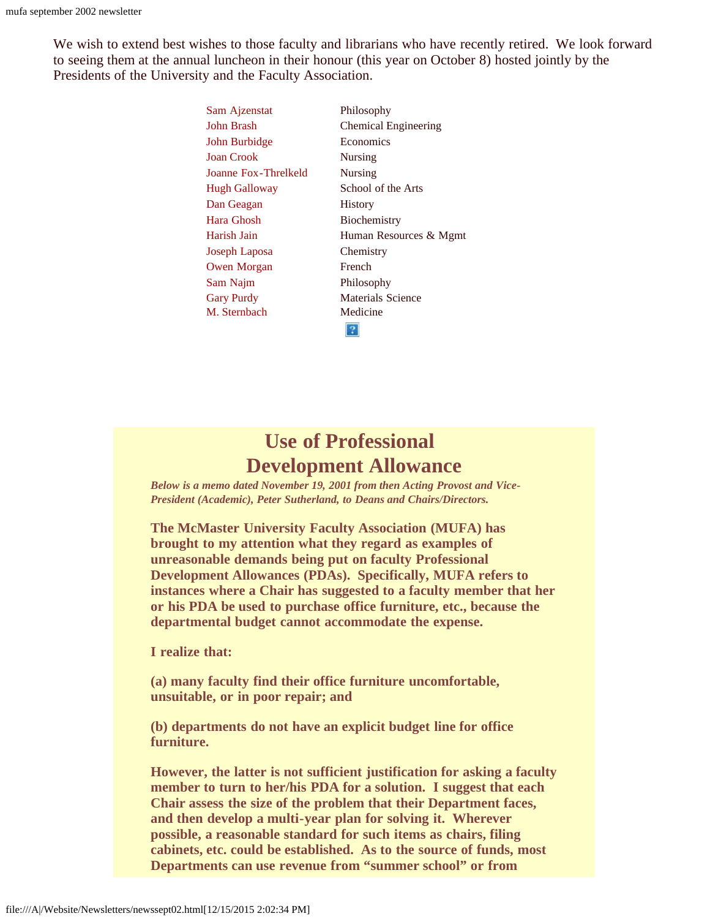We wish to extend best wishes to those faculty and librarians who have recently retired. We look forward to seeing them at the annual luncheon in their honour (this year on October 8) hosted jointly by the Presidents of the University and the Faculty Association.

| Sam Ajzenstat        | Philosophy                  |
|----------------------|-----------------------------|
| John Brash           | <b>Chemical Engineering</b> |
| John Burbidge        | Economics                   |
| <b>Joan Crook</b>    | <b>Nursing</b>              |
| Joanne Fox-Threlkeld | <b>Nursing</b>              |
| <b>Hugh Galloway</b> | School of the Arts          |
| Dan Geagan           | <b>History</b>              |
| Hara Ghosh           | Biochemistry                |
| Harish Jain          | Human Resources & Mgmt      |
| Joseph Laposa        | Chemistry                   |
| <b>Owen Morgan</b>   | French                      |
| Sam Najm             | Philosophy                  |
| <b>Gary Purdy</b>    | Materials Science           |
| M. Sternbach         | Medicine                    |
|                      |                             |

## **Use of Professional Development Allowance**

<span id="page-5-0"></span>*Below is a memo dated November 19, 2001 from then Acting Provost and Vice-President (Academic), Peter Sutherland, to Deans and Chairs/Directors.*

**The McMaster University Faculty Association (MUFA) has brought to my attention what they regard as examples of unreasonable demands being put on faculty Professional Development Allowances (PDAs). Specifically, MUFA refers to instances where a Chair has suggested to a faculty member that her or his PDA be used to purchase office furniture, etc., because the departmental budget cannot accommodate the expense.**

**I realize that:**

**(a) many faculty find their office furniture uncomfortable, unsuitable, or in poor repair; and**

**(b) departments do not have an explicit budget line for office furniture.**

**However, the latter is not sufficient justification for asking a faculty member to turn to her/his PDA for a solution. I suggest that each Chair assess the size of the problem that their Department faces, and then develop a multi-year plan for solving it. Wherever possible, a reasonable standard for such items as chairs, filing cabinets, etc. could be established. As to the source of funds, most Departments can use revenue from "summer school" or from**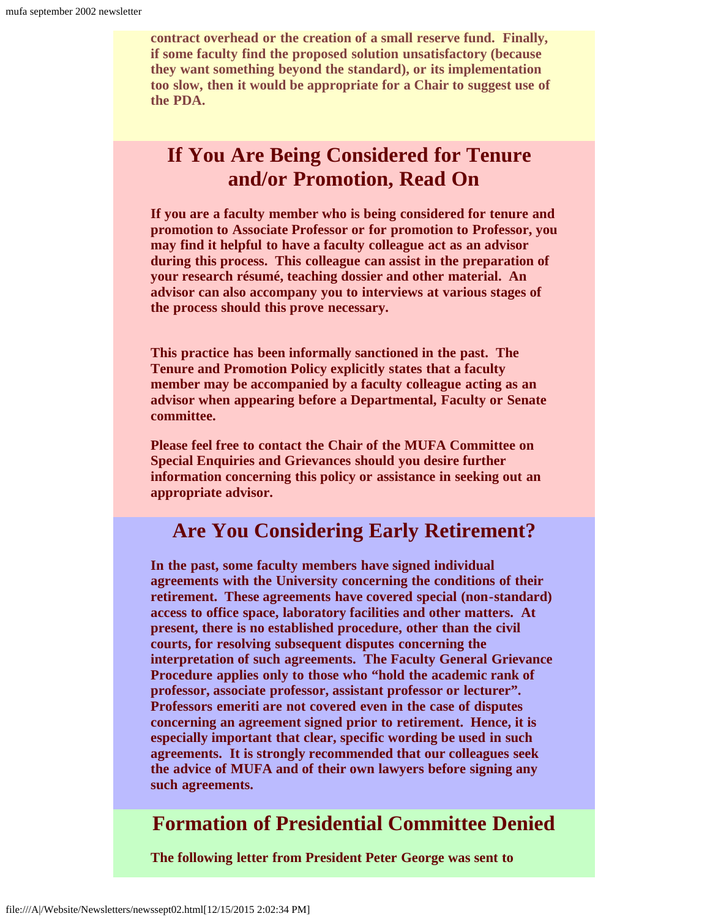**contract overhead or the creation of a small reserve fund. Finally, if some faculty find the proposed solution unsatisfactory (because they want something beyond the standard), or its implementation too slow, then it would be appropriate for a Chair to suggest use of the PDA.**

## **If You Are Being Considered for Tenure and/or Promotion, Read On**

<span id="page-6-0"></span>**If you are a faculty member who is being considered for tenure and promotion to Associate Professor or for promotion to Professor, you may find it helpful to have a faculty colleague act as an advisor during this process. This colleague can assist in the preparation of your research résumé, teaching dossier and other material. An advisor can also accompany you to interviews at various stages of the process should this prove necessary.**

**This practice has been informally sanctioned in the past. The Tenure and Promotion Policy explicitly states that a faculty member may be accompanied by a faculty colleague acting as an advisor when appearing before a Departmental, Faculty or Senate committee.**

**Please feel free to contact the Chair of the MUFA Committee on Special Enquiries and Grievances should you desire further information concerning this policy or assistance in seeking out an appropriate advisor.**

## **Are You Considering Early Retirement?**

<span id="page-6-1"></span>**In the past, some faculty members have signed individual agreements with the University concerning the conditions of their retirement. These agreements have covered special (non-standard) access to office space, laboratory facilities and other matters. At present, there is no established procedure, other than the civil courts, for resolving subsequent disputes concerning the interpretation of such agreements. The Faculty General Grievance Procedure applies only to those who "hold the academic rank of professor, associate professor, assistant professor or lecturer". Professors emeriti are not covered even in the case of disputes concerning an agreement signed prior to retirement. Hence, it is especially important that clear, specific wording be used in such agreements. It is strongly recommended that our colleagues seek the advice of MUFA and of their own lawyers before signing any such agreements.**

## <span id="page-6-2"></span>**Formation of Presidential Committee Denied**

**The following letter from President Peter George was sent to**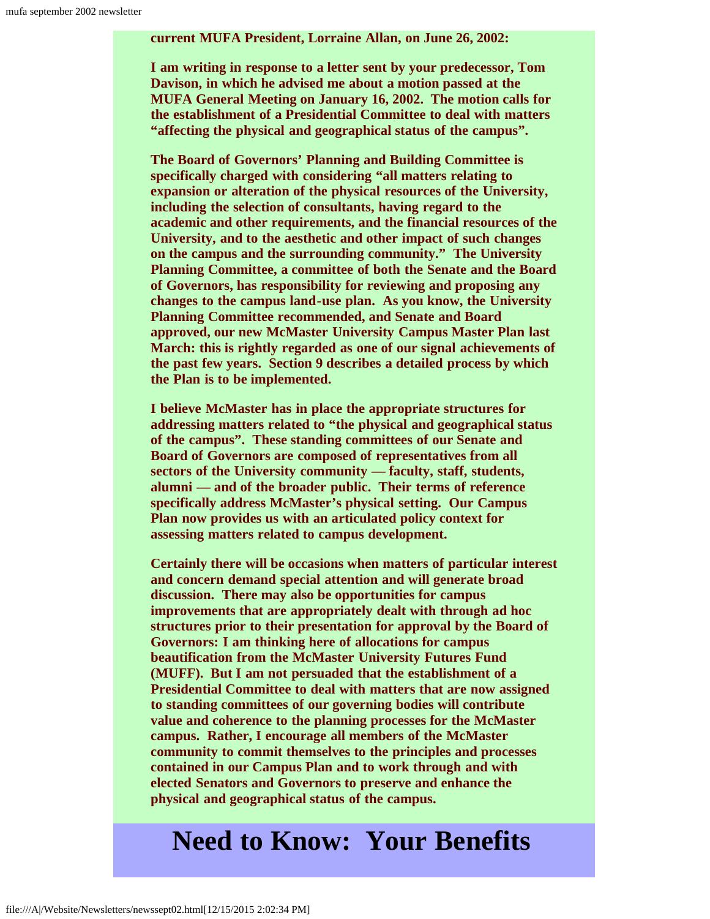**current MUFA President, Lorraine Allan, on June 26, 2002:**

**I am writing in response to a letter sent by your predecessor, Tom Davison, in which he advised me about a motion passed at the MUFA General Meeting on January 16, 2002. The motion calls for the establishment of a Presidential Committee to deal with matters "affecting the physical and geographical status of the campus".**

**The Board of Governors' Planning and Building Committee is specifically charged with considering "all matters relating to expansion or alteration of the physical resources of the University, including the selection of consultants, having regard to the academic and other requirements, and the financial resources of the University, and to the aesthetic and other impact of such changes on the campus and the surrounding community." The University Planning Committee, a committee of both the Senate and the Board of Governors, has responsibility for reviewing and proposing any changes to the campus land-use plan. As you know, the University Planning Committee recommended, and Senate and Board approved, our new McMaster University Campus Master Plan last March: this is rightly regarded as one of our signal achievements of the past few years. Section 9 describes a detailed process by which the Plan is to be implemented.**

**I believe McMaster has in place the appropriate structures for addressing matters related to "the physical and geographical status of the campus". These standing committees of our Senate and Board of Governors are composed of representatives from all sectors of the University community — faculty, staff, students, alumni — and of the broader public. Their terms of reference specifically address McMaster's physical setting. Our Campus Plan now provides us with an articulated policy context for assessing matters related to campus development.**

**Certainly there will be occasions when matters of particular interest and concern demand special attention and will generate broad discussion. There may also be opportunities for campus improvements that are appropriately dealt with through ad hoc structures prior to their presentation for approval by the Board of Governors: I am thinking here of allocations for campus beautification from the McMaster University Futures Fund (MUFF). But I am not persuaded that the establishment of a Presidential Committee to deal with matters that are now assigned to standing committees of our governing bodies will contribute value and coherence to the planning processes for the McMaster campus. Rather, I encourage all members of the McMaster community to commit themselves to the principles and processes contained in our Campus Plan and to work through and with elected Senators and Governors to preserve and enhance the physical and geographical status of the campus.**

# <span id="page-7-0"></span>**Need to Know: Your Benefits**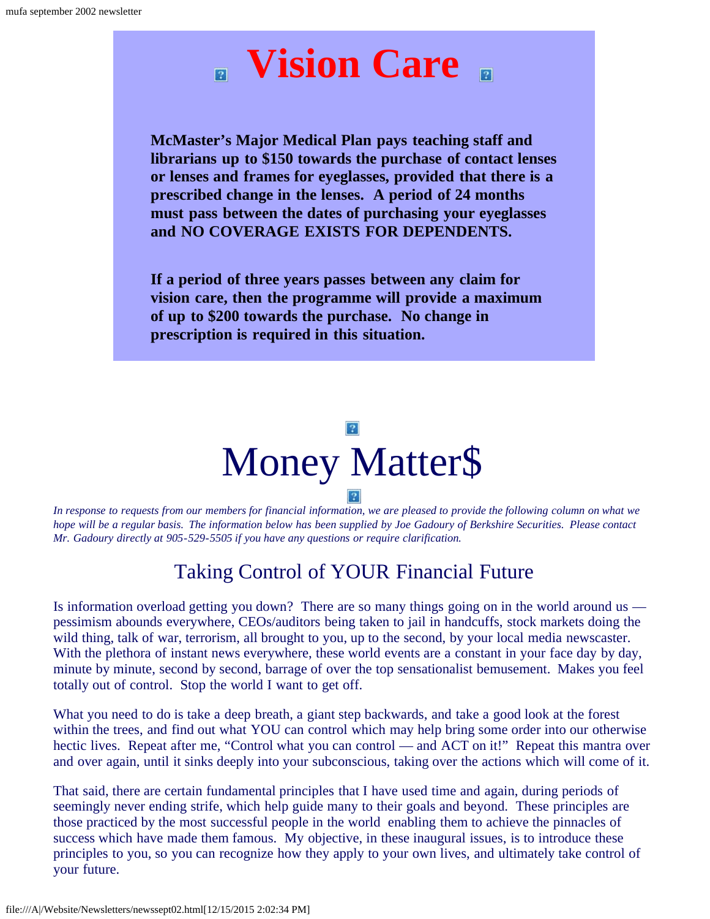

**McMaster's Major Medical Plan pays teaching staff and librarians up to \$150 towards the purchase of contact lenses or lenses and frames for eyeglasses, provided that there is a prescribed change in the lenses. A period of 24 months must pass between the dates of purchasing your eyeglasses and NO COVERAGE EXISTS FOR DEPENDENTS.**

**If a period of three years passes between any claim for vision care, then the programme will provide a maximum of up to \$200 towards the purchase. No change in prescription is required in this situation.**



<span id="page-8-0"></span>*In response to requests from our members for financial information, we are pleased to provide the following column on what we hope will be a regular basis. The information below has been supplied by Joe Gadoury of Berkshire Securities. Please contact Mr. Gadoury directly at 905-529-5505 if you have any questions or require clarification.*

## Taking Control of YOUR Financial Future

Is information overload getting you down? There are so many things going on in the world around us pessimism abounds everywhere, CEOs/auditors being taken to jail in handcuffs, stock markets doing the wild thing, talk of war, terrorism, all brought to you, up to the second, by your local media newscaster. With the plethora of instant news everywhere, these world events are a constant in your face day by day, minute by minute, second by second, barrage of over the top sensationalist bemusement. Makes you feel totally out of control. Stop the world I want to get off.

What you need to do is take a deep breath, a giant step backwards, and take a good look at the forest within the trees, and find out what YOU can control which may help bring some order into our otherwise hectic lives. Repeat after me, "Control what you can control — and ACT on it!" Repeat this mantra over and over again, until it sinks deeply into your subconscious, taking over the actions which will come of it.

That said, there are certain fundamental principles that I have used time and again, during periods of seemingly never ending strife, which help guide many to their goals and beyond. These principles are those practiced by the most successful people in the world enabling them to achieve the pinnacles of success which have made them famous. My objective, in these inaugural issues, is to introduce these principles to you, so you can recognize how they apply to your own lives, and ultimately take control of your future.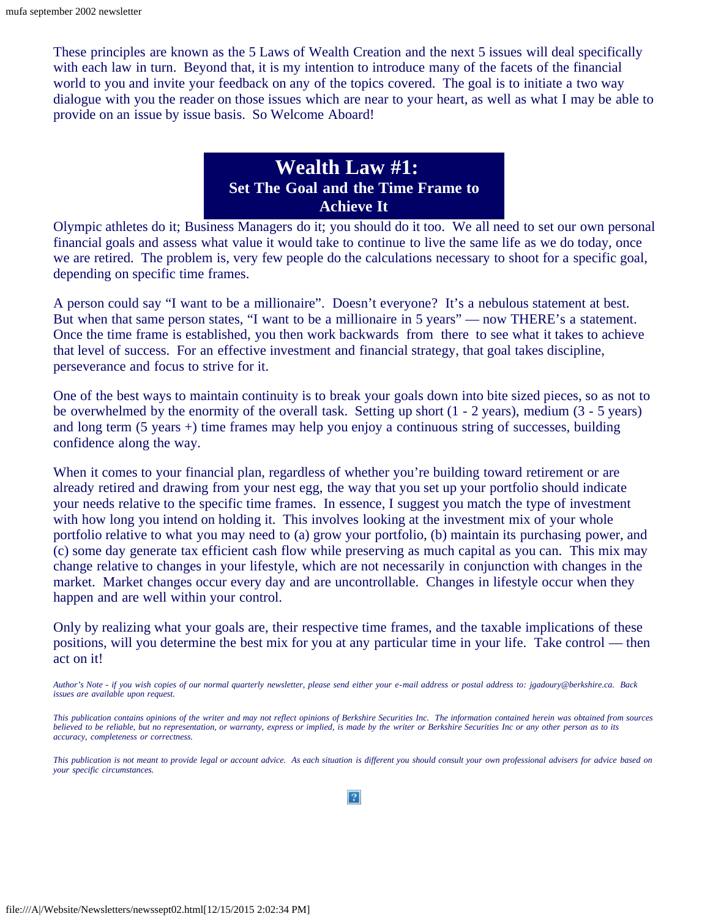These principles are known as the 5 Laws of Wealth Creation and the next 5 issues will deal specifically with each law in turn. Beyond that, it is my intention to introduce many of the facets of the financial world to you and invite your feedback on any of the topics covered. The goal is to initiate a two way dialogue with you the reader on those issues which are near to your heart, as well as what I may be able to provide on an issue by issue basis. So Welcome Aboard!

#### **Wealth Law #1: Set The Goal and the Time Frame to Achieve It**

Olympic athletes do it; Business Managers do it; you should do it too. We all need to set our own personal financial goals and assess what value it would take to continue to live the same life as we do today, once we are retired. The problem is, very few people do the calculations necessary to shoot for a specific goal, depending on specific time frames.

A person could say "I want to be a millionaire". Doesn't everyone? It's a nebulous statement at best. But when that same person states, "I want to be a millionaire in 5 years" — now THERE's a statement. Once the time frame is established, you then work backwards from there to see what it takes to achieve that level of success. For an effective investment and financial strategy, that goal takes discipline, perseverance and focus to strive for it.

One of the best ways to maintain continuity is to break your goals down into bite sized pieces, so as not to be overwhelmed by the enormity of the overall task. Setting up short (1 - 2 years), medium (3 - 5 years) and long term (5 years +) time frames may help you enjoy a continuous string of successes, building confidence along the way.

When it comes to your financial plan, regardless of whether you're building toward retirement or are already retired and drawing from your nest egg, the way that you set up your portfolio should indicate your needs relative to the specific time frames. In essence, I suggest you match the type of investment with how long you intend on holding it. This involves looking at the investment mix of your whole portfolio relative to what you may need to (a) grow your portfolio, (b) maintain its purchasing power, and (c) some day generate tax efficient cash flow while preserving as much capital as you can. This mix may change relative to changes in your lifestyle, which are not necessarily in conjunction with changes in the market. Market changes occur every day and are uncontrollable. Changes in lifestyle occur when they happen and are well within your control.

Only by realizing what your goals are, their respective time frames, and the taxable implications of these positions, will you determine the best mix for you at any particular time in your life. Take control — then act on it!

*Author's Note - if you wish copies of our normal quarterly newsletter, please send either your e-mail address or postal address to: jgadoury@berkshire.ca. Back issues are available upon request.*

*This publication contains opinions of the writer and may not reflect opinions of Berkshire Securities Inc. The information contained herein was obtained from sources believed to be reliable, but no representation, or warranty, express or implied, is made by the writer or Berkshire Securities Inc or any other person as to its accuracy, completeness or correctness.*

*This publication is not meant to provide legal or account advice. As each situation is different you should consult your own professional advisers for advice based on your specific circumstances.*